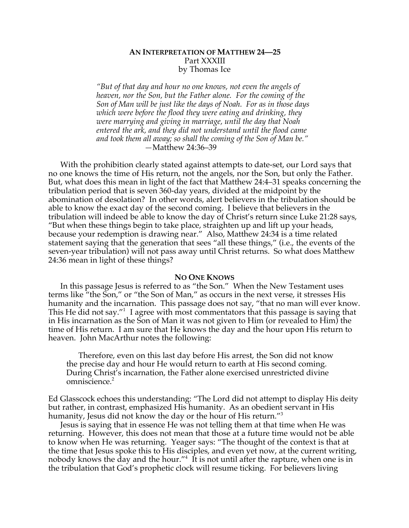# **AN INTERPRETATION OF MATTHEW 24—25** Part XXXIII by Thomas Ice

*"But of that day and hour no one knows, not even the angels of heaven, nor the Son, but the Father alone. For the coming of the Son of Man will be just like the days of Noah. For as in those days which were before the flood they were eating and drinking, they were marrying and giving in marriage, until the day that Noah entered the ark, and they did not understand until the flood came and took them all away; so shall the coming of the Son of Man be." —*Matthew 24:36–39

With the prohibition clearly stated against attempts to date-set, our Lord says that no one knows the time of His return, not the angels, nor the Son, but only the Father. But, what does this mean in light of the fact that Matthew 24:4–31 speaks concerning the tribulation period that is seven 360-day years, divided at the midpoint by the abomination of desolation? In other words, alert believers in the tribulation should be able to know the exact day of the second coming. I believe that believers in the tribulation will indeed be able to know the day of Christ's return since Luke 21:28 says, "But when these things begin to take place, straighten up and lift up your heads, because your redemption is drawing near." Also, Matthew 24:34 is a time related statement saying that the generation that sees "all these things," (i.e., the events of the seven-year tribulation) will not pass away until Christ returns. So what does Matthew 24:36 mean in light of these things?

### **NO ONE KNOWS**

In this passage Jesus is referred to as "the Son." When the New Testament uses terms like "the Son," or "the Son of Man," as occurs in the next verse, it stresses His humanity and the incarnation. This passage does not say, "that no man will ever know. This He did not say."<sup>1</sup> I agree with most commentators that this passage is saying that in His incarnation as the Son of Man it was not given to Him (or revealed to Him) the time of His return. I am sure that He knows the day and the hour upon His return to heaven. John MacArthur notes the following:

Therefore, even on this last day before His arrest, the Son did not know the precise day and hour He would return to earth at His second coming. During Christ's incarnation, the Father alone exercised unrestricted divine omniscience.<sup>2</sup>

Ed Glasscock echoes this understanding: "The Lord did not attempt to display His deity but rather, in contrast, emphasized His humanity. As an obedient servant in His humanity, Jesus did not know the day or the hour of His return."<sup>3</sup>

Jesus is saying that in essence He was not telling them at that time when He was returning. However, this does not mean that those at a future time would not be able to know when He was returning. Yeager says: "The thought of the context is that at the time that Jesus spoke this to His disciples, and even yet now, at the current writing, nobody knows the day and the hour." $4\,$  It is not until after the rapture, when one is in the tribulation that God's prophetic clock will resume ticking. For believers living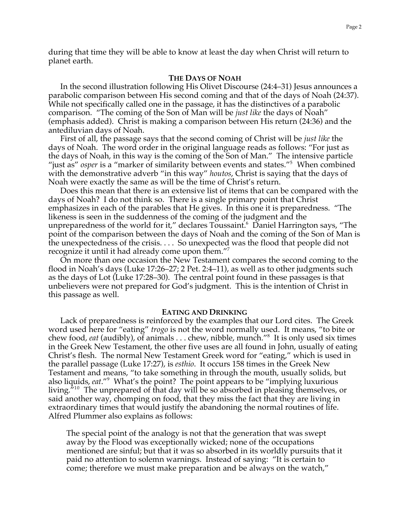during that time they will be able to know at least the day when Christ will return to planet earth.

## **THE DAYS OF NOAH**

In the second illustration following His Olivet Discourse (24:4–31) Jesus announces a parabolic comparison between His second coming and that of the days of Noah (24:37). While not specifically called one in the passage, it has the distinctives of a parabolic comparison. "The coming of the Son of Man will be *just like* the days of Noah" (emphasis added). Christ is making a comparison between His return (24:36) and the antediluvian days of Noah.

First of all, the passage says that the second coming of Christ will be *just like* the days of Noah. The word order in the original language reads as follows: "For just as the days of Noah, in this way is the coming of the Son of Man." The intensive particle "just as" *osper* is a "marker of similarity between events and states."<sup>5</sup> When combined with the demonstrative adverb "in this way" *houtos*, Christ is saying that the days of Noah were exactly the same as will be the time of Christ's return.

Does this mean that there is an extensive list of items that can be compared with the days of Noah? I do not think so. There is a single primary point that Christ emphasizes in each of the parables that He gives. In this one it is preparedness. "The likeness is seen in the suddenness of the coming of the judgment and the unpreparedness of the world for it," declares Toussaint. $^6\,$  Daniel Harrington says, "The point of the comparison between the days of Noah and the coming of the Son of Man is the unexpectedness of the crisis. . . . So unexpected was the flood that people did not recognize it until it had already come upon them."<sup>7</sup>

On more than one occasion the New Testament compares the second coming to the flood in Noah's days (Luke 17:26–27; 2 Pet. 2:4–11), as well as to other judgments such as the days of Lot (Luke 17:28–30). The central point found in these passages is that unbelievers were not prepared for God's judgment. This is the intention of Christ in this passage as well.

#### **EATING AND DRINKING**

Lack of preparedness is reinforced by the examples that our Lord cites. The Greek word used here for "eating" *trogo* is not the word normally used. It means, "to bite or chew food, *eat* (audibly), of animals . . . chew, nibble, munch."8 It is only used six times in the Greek New Testament, the other five uses are all found in John, usually of eating Christ's flesh. The normal New Testament Greek word for "eating," which is used in the parallel passage (Luke 17:27), is *esthio*. It occurs 158 times in the Greek New Testament and means, "to take something in through the mouth, usually solids, but also liquids, *eat*."<sup>9</sup> What's the point? The point appears to be "implying luxurious living.<sup>710</sup> The unprepared of that day will be so absorbed in pleasing themselves, or said another way, chomping on food, that they miss the fact that they are living in extraordinary times that would justify the abandoning the normal routines of life. Alfred Plummer also explains as follows:

The special point of the analogy is not that the generation that was swept away by the Flood was exceptionally wicked; none of the occupations mentioned are sinful; but that it was so absorbed in its worldly pursuits that it paid no attention to solemn warnings. Instead of saying: "It is certain to come; therefore we must make preparation and be always on the watch,"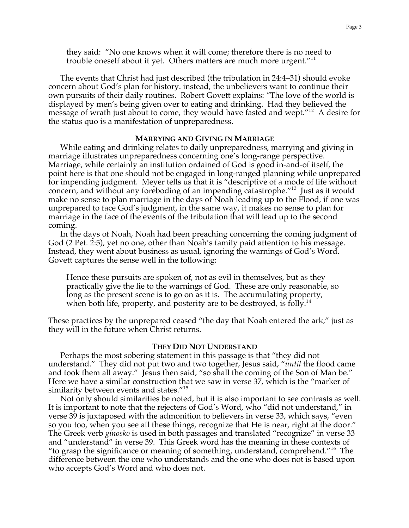they said: "No one knows when it will come; therefore there is no need to trouble oneself about it yet. Others matters are much more urgent."<sup>11</sup>

The events that Christ had just described (the tribulation in 24:4–31) should evoke concern about God's plan for history. instead, the unbelievers want to continue their own pursuits of their daily routines. Robert Govett explains: "The love of the world is displayed by men's being given over to eating and drinking. Had they believed the message of wrath just about to come, they would have fasted and wept."<sup>12</sup> A desire for the status quo is a manifestation of unpreparedness.

## **MARRYING AND GIVING IN MARRIAGE**

While eating and drinking relates to daily unpreparedness, marrying and giving in marriage illustrates unpreparedness concerning one's long-range perspective. Marriage, while certainly an institution ordained of God is good in-and-of itself, the point here is that one should not be engaged in long-ranged planning while unprepared for impending judgment. Meyer tells us that it is "descriptive of a mode of life without concern, and without any foreboding of an impending catastrophe."<sup>13</sup> Just as it would make no sense to plan marriage in the days of Noah leading up to the Flood, if one was unprepared to face God's judgment, in the same way, it makes no sense to plan for marriage in the face of the events of the tribulation that will lead up to the second coming.

In the days of Noah, Noah had been preaching concerning the coming judgment of God (2 Pet. 2:5), yet no one, other than Noah's family paid attention to his message. Instead, they went about business as usual, ignoring the warnings of God's Word. Govett captures the sense well in the following:

Hence these pursuits are spoken of, not as evil in themselves, but as they practically give the lie to the warnings of God. These are only reasonable, so long as the present scene is to go on as it is. The accumulating property, when both life, property, and posterity are to be destroyed, is folly.<sup>14</sup>

These practices by the unprepared ceased "the day that Noah entered the ark," just as they will in the future when Christ returns.

### **THEY DID NOT UNDERSTAND**

Perhaps the most sobering statement in this passage is that "they did not understand." They did not put two and two together, Jesus said, "*until* the flood came and took them all away." Jesus then said, "so shall the coming of the Son of Man be." Here we have a similar construction that we saw in verse 37, which is the "marker of similarity between events and states."<sup>15</sup>

Not only should similarities be noted, but it is also important to see contrasts as well. It is important to note that the rejecters of God's Word, who "did not understand," in verse 39 is juxtaposed with the admonition to believers in verse 33, which says, "even so you too, when you see all these things, recognize that He is near, right at the door." The Greek verb *ginosko* is used in both passages and translated "recognize" in verse 33 and "understand" in verse 39. This Greek word has the meaning in these contexts of "to grasp the significance or meaning of something, understand, comprehend."<sup>16</sup> The difference between the one who understands and the one who does not is based upon who accepts God's Word and who does not.